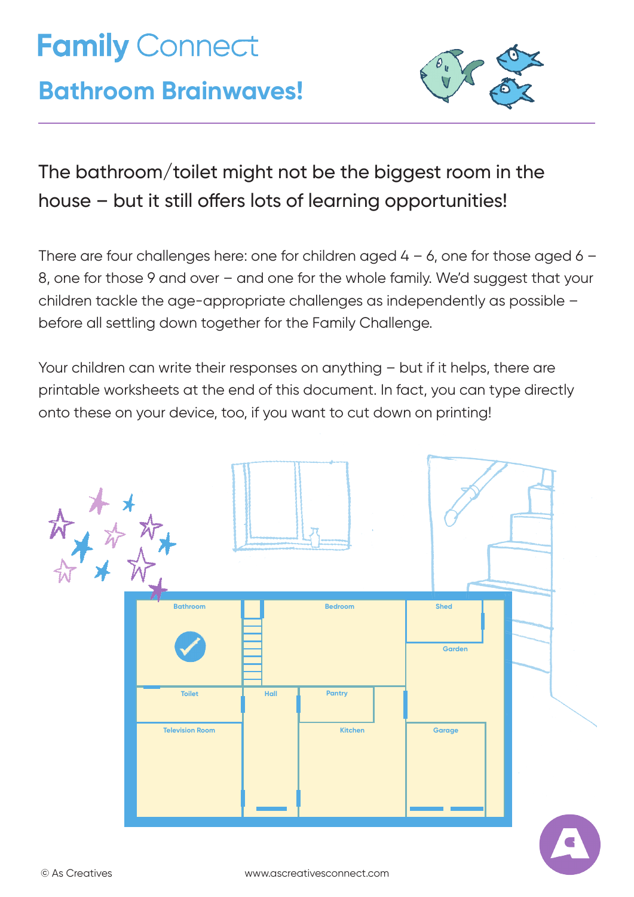# **Family Connect**

## **Bathroom Brainwaves!**



### The bathroom/toilet might not be the biggest room in the house – but it still offers lots of learning opportunities!

There are four challenges here: one for children aged  $4 - 6$ , one for those aged  $6 - 6$ 8, one for those 9 and over – and one for the whole family. We'd suggest that your children tackle the age-appropriate challenges as independently as possible – before all settling down together for the Family Challenge.

Your children can write their responses on anything – but if it helps, there are printable worksheets at the end of this document. In fact, you can type directly onto these on your device, too, if you want to cut down on printing!

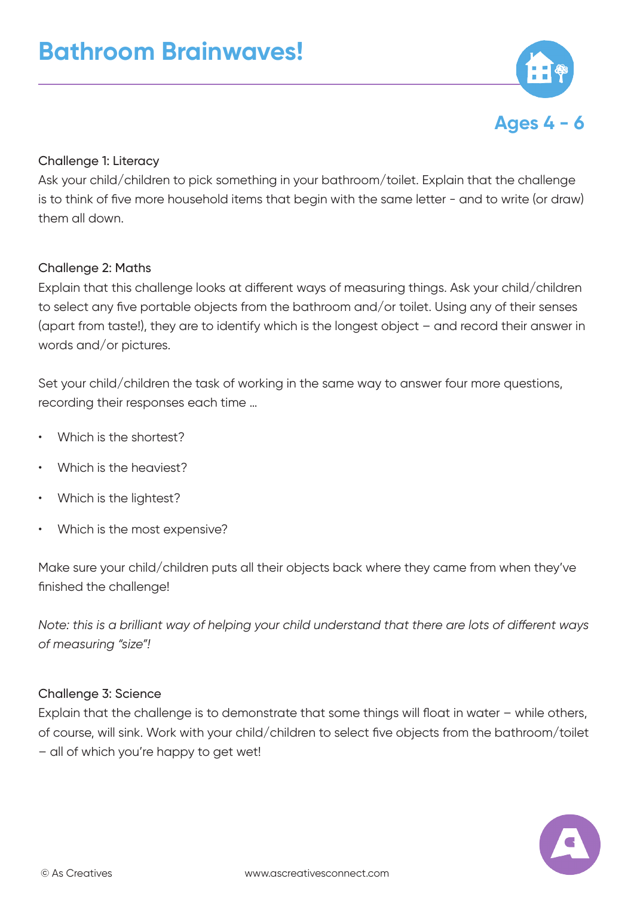

#### Challenge 1: Literacy

Ask your child/children to pick something in your bathroom/toilet. Explain that the challenge is to think of five more household items that begin with the same letter - and to write (or draw) them all down.

#### Challenge 2: Maths

Explain that this challenge looks at different ways of measuring things. Ask your child/children to select any five portable objects from the bathroom and/or toilet. Using any of their senses (apart from taste!), they are to identify which is the longest object – and record their answer in words and/or pictures.

Set your child/children the task of working in the same way to answer four more questions, recording their responses each time …

- Which is the shortest?
- Which is the heaviest?
- Which is the lightest?
- Which is the most expensive?

Make sure your child/children puts all their objects back where they came from when they've finished the challenge!

*Note: this is a brilliant way of helping your child understand that there are lots of different ways of measuring "size"!*

#### Challenge 3: Science

Explain that the challenge is to demonstrate that some things will float in water – while others, of course, will sink. Work with your child/children to select five objects from the bathroom/toilet – all of which you're happy to get wet!

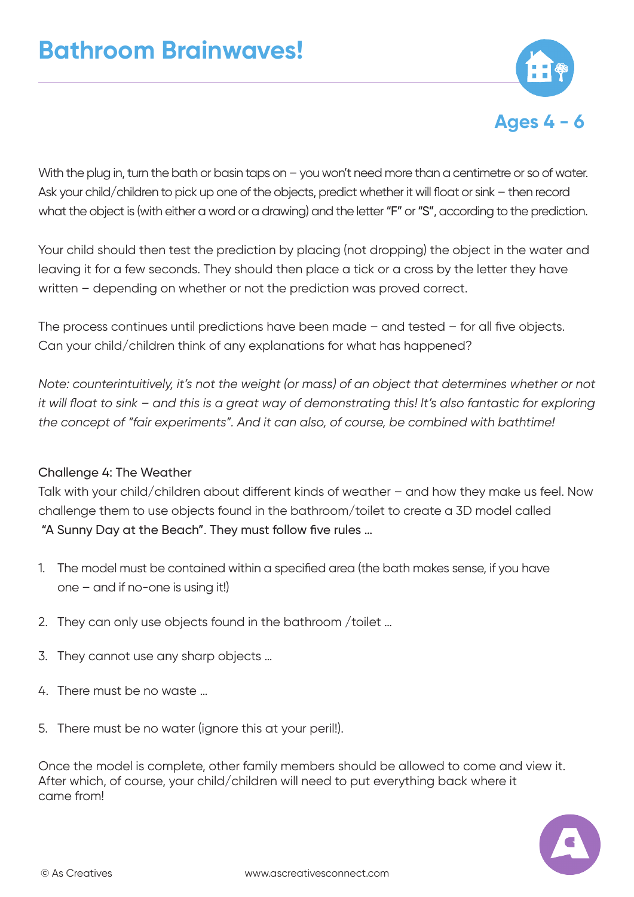

With the plug in, turn the bath or basin taps on - you won't need more than a centimetre or so of water. Ask your child/children to pick up one of the objects, predict whether it will float or sink – then record what the object is (with either a word or a drawing) and the letter "F" or "S", according to the prediction.

Your child should then test the prediction by placing (not dropping) the object in the water and leaving it for a few seconds. They should then place a tick or a cross by the letter they have written – depending on whether or not the prediction was proved correct.

The process continues until predictions have been made – and tested – for all five objects. Can your child/children think of any explanations for what has happened?

*Note: counterintuitively, it's not the weight (or mass) of an object that determines whether or not it will float to sink – and this is a great way of demonstrating this! It's also fantastic for exploring the concept of "fair experiments". And it can also, of course, be combined with bathtime!*

#### Challenge 4: The Weather

Talk with your child/children about different kinds of weather – and how they make us feel. Now challenge them to use objects found in the bathroom/toilet to create a 3D model called "A Sunny Day at the Beach". They must follow five rules …

- 1. The model must be contained within a specified area (the bath makes sense, if you have one – and if no-one is using it!)
- 2. They can only use objects found in the bathroom /toilet …
- 3. They cannot use any sharp objects …
- 4. There must be no waste …
- 5. There must be no water (ignore this at your peril!).

Once the model is complete, other family members should be allowed to come and view it. After which, of course, your child/children will need to put everything back where it came from!

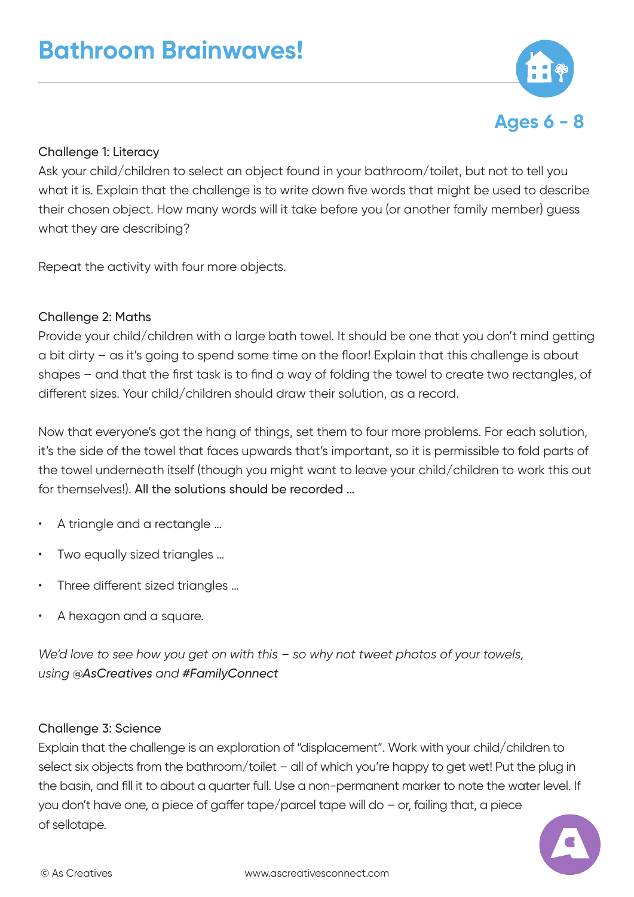

#### Challenge 1: Literacy

Ask your child/children to select an object found in your bathroom/toilet, but not to tell you what it is. Explain that the challenge is to write down five words that might be used to describe their chosen object. How many words will it take before you (or another family member) guess what they are describing?

Repeat the activity with four more objects.

#### Challenge 2: Maths

Provide your child/children with a large bath towel. It should be one that you don't mind getting a bit dirty – as it's going to spend some time on the floor! Explain that this challenge is about shapes – and that the first task is to find a way of folding the towel to create two rectangles, of different sizes. Your child/children should draw their solution, as a record.

Now that everyone's got the hang of things, set them to four more problems. For each solution, it's the side of the towel that faces upwards that's important, so it is permissible to fold parts of the towel underneath itself (though you might want to leave your child/children to work this out for themselves!). All the solutions should be recorded …

- A triangle and a rectangle …
- Two equally sized triangles ...
- Three different sized triangles ...
- A hexagon and a square.

*We'd love to see how you get on with this – so why not tweet photos of your towels, using @AsCreatives and #FamilyConnect*

#### Challenge 3: Science

Explain that the challenge is an exploration of "displacement". Work with your child/children to select six objects from the bathroom/toilet – all of which you're happy to get wet! Put the plug in the basin, and fill it to about a quarter full. Use a non-permanent marker to note the water level. If you don't have one, a piece of gaffer tape/parcel tape will do – or, failing that, a piece of sellotape.

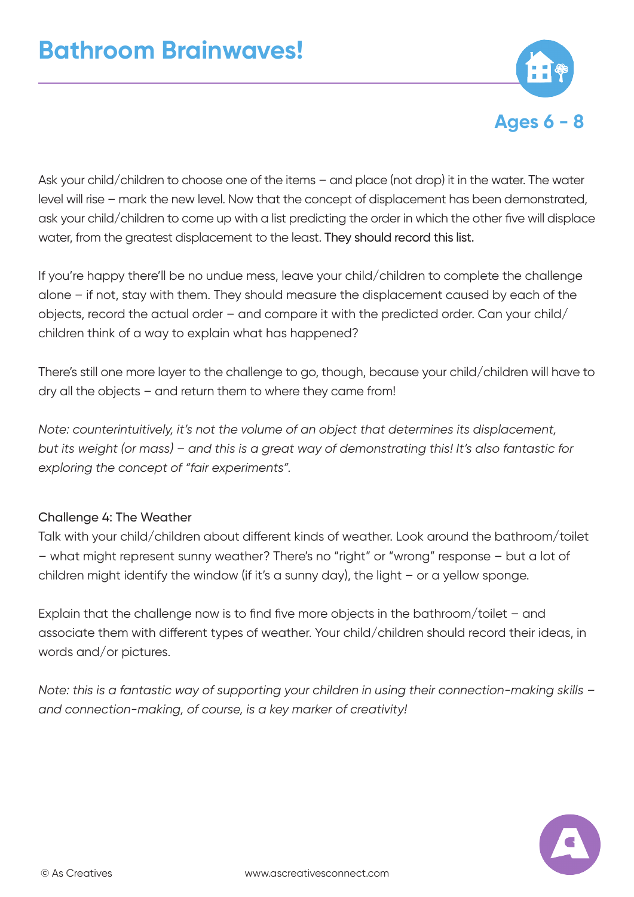

Ask your child/children to choose one of the items – and place (not drop) it in the water. The water level will rise – mark the new level. Now that the concept of displacement has been demonstrated, ask your child/children to come up with a list predicting the order in which the other five will displace water, from the greatest displacement to the least. They should record this list.

If you're happy there'll be no undue mess, leave your child/children to complete the challenge alone – if not, stay with them. They should measure the displacement caused by each of the objects, record the actual order – and compare it with the predicted order. Can your child/ children think of a way to explain what has happened?

There's still one more layer to the challenge to go, though, because your child/children will have to dry all the objects – and return them to where they came from!

*Note: counterintuitively, it's not the volume of an object that determines its displacement, but its weight (or mass) – and this is a great way of demonstrating this! It's also fantastic for exploring the concept of "fair experiments".* 

#### Challenge 4: The Weather

Talk with your child/children about different kinds of weather. Look around the bathroom/toilet – what might represent sunny weather? There's no "right" or "wrong" response – but a lot of children might identify the window (if it's a sunny day), the light – or a yellow sponge.

Explain that the challenge now is to find five more objects in the bathroom/toilet – and associate them with different types of weather. Your child/children should record their ideas, in words and/or pictures.

*Note: this is a fantastic way of supporting your children in using their connection-making skills – and connection-making, of course, is a key marker of creativity!*

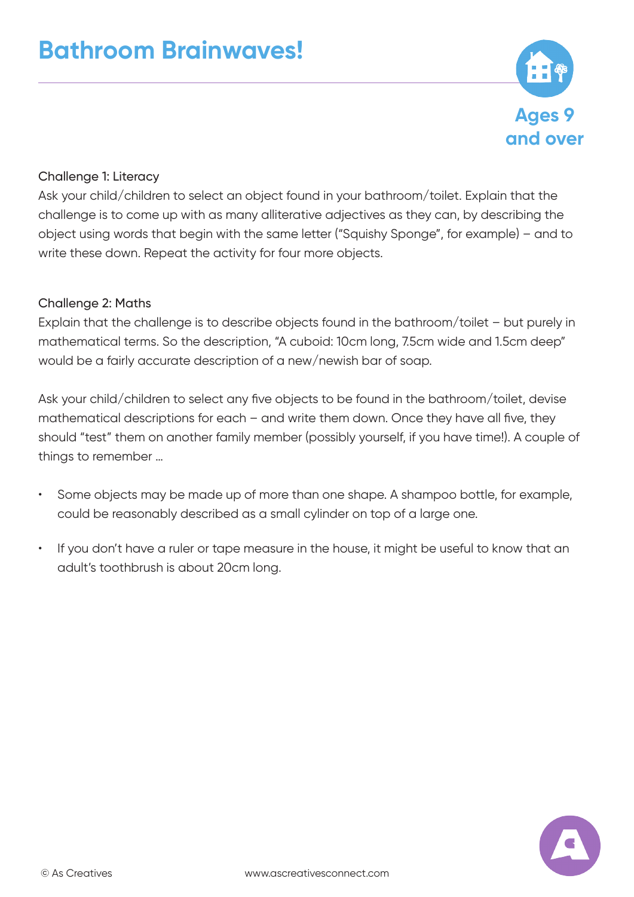

#### Challenge 1: Literacy

Ask your child/children to select an object found in your bathroom/toilet. Explain that the challenge is to come up with as many alliterative adjectives as they can, by describing the object using words that begin with the same letter ("Squishy Sponge", for example) – and to write these down. Repeat the activity for four more objects.

#### Challenge 2: Maths

Explain that the challenge is to describe objects found in the bathroom/toilet – but purely in mathematical terms. So the description, "A cuboid: 10cm long, 7.5cm wide and 1.5cm deep" would be a fairly accurate description of a new/newish bar of soap.

Ask your child/children to select any five objects to be found in the bathroom/toilet, devise mathematical descriptions for each – and write them down. Once they have all five, they should "test" them on another family member (possibly yourself, if you have time!). A couple of things to remember …

- Some objects may be made up of more than one shape. A shampoo bottle, for example, could be reasonably described as a small cylinder on top of a large one.
- If you don't have a ruler or tape measure in the house, it might be useful to know that an adult's toothbrush is about 20cm long.

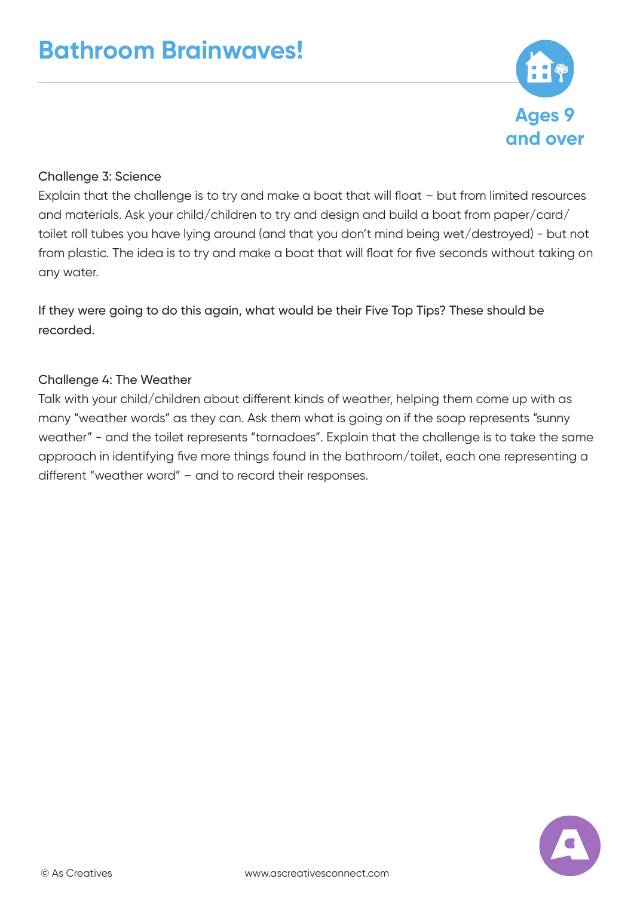

#### Challenge 3: Science

Explain that the challenge is to try and make a boat that will float – but from limited resources and materials. Ask your child/children to try and design and build a boat from paper/card/ toilet roll tubes you have lying around (and that you don't mind being wet/destroyed) - but not from plastic. The idea is to try and make a boat that will float for five seconds without taking on any water.

If they were going to do this again, what would be their Five Top Tips? These should be recorded.

#### Challenge 4: The Weather

Talk with your child/children about different kinds of weather, helping them come up with as many "weather words" as they can. Ask them what is going on if the soap represents "sunny weather" - and the toilet represents "tornadoes". Explain that the challenge is to take the same approach in identifying five more things found in the bathroom/toilet, each one representing a different "weather word" – and to record their responses.

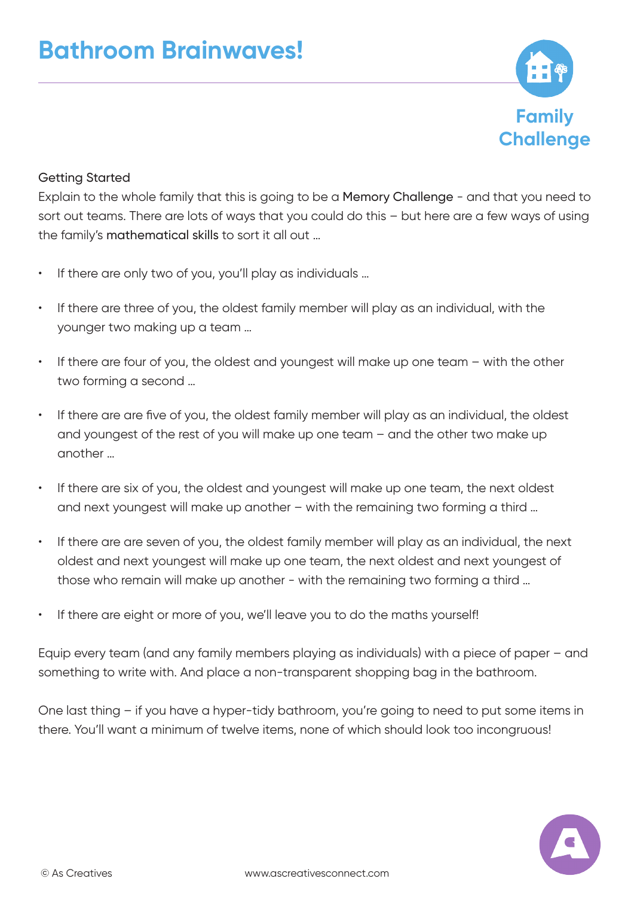

#### Getting Started

Explain to the whole family that this is going to be a Memory Challenge - and that you need to sort out teams. There are lots of ways that you could do this – but here are a few ways of using the family's mathematical skills to sort it all out …

- If there are only two of you, you'll play as individuals ...
- If there are three of you, the oldest family member will play as an individual, with the younger two making up a team …
- If there are four of you, the oldest and youngest will make up one team with the other two forming a second …
- If there are are five of you, the oldest family member will play as an individual, the oldest and youngest of the rest of you will make up one team – and the other two make up another …
- If there are six of you, the oldest and youngest will make up one team, the next oldest and next youngest will make up another – with the remaining two forming a third …
- If there are are seven of you, the oldest family member will play as an individual, the next oldest and next youngest will make up one team, the next oldest and next youngest of those who remain will make up another - with the remaining two forming a third …
- If there are eight or more of you, we'll leave you to do the maths yourself!

Equip every team (and any family members playing as individuals) with a piece of paper – and something to write with. And place a non-transparent shopping bag in the bathroom.

One last thing – if you have a hyper-tidy bathroom, you're going to need to put some items in there. You'll want a minimum of twelve items, none of which should look too incongruous!